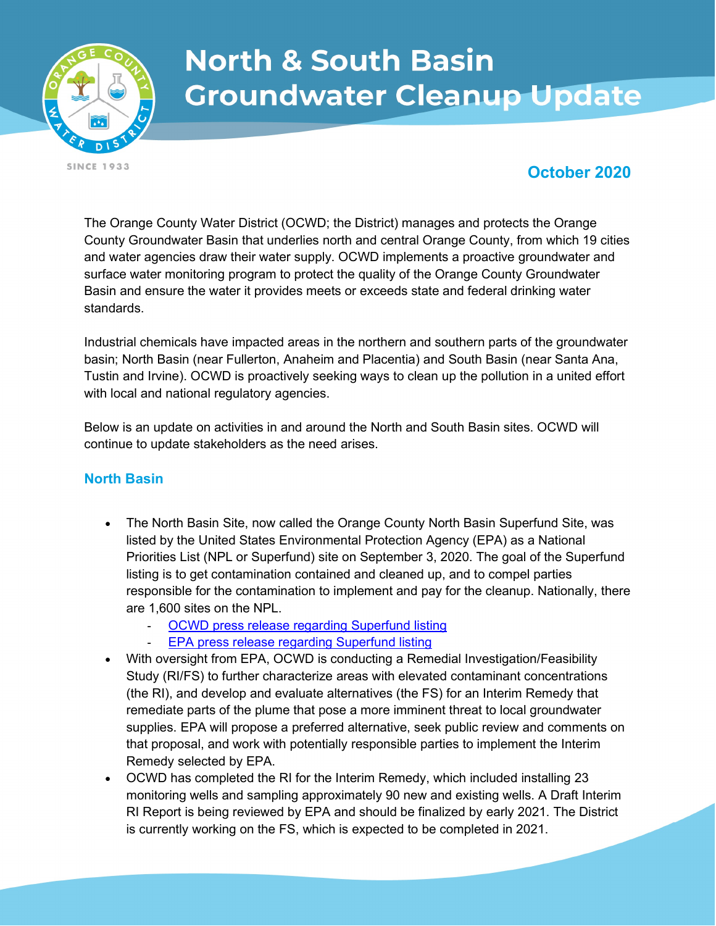

# **North & South Basin Groundwater Cleanup Update**

**SINCE 1933** 

## October 2020

The Orange County Water District (OCWD; the District) manages and protects the Orange County Groundwater Basin that underlies north and central Orange County, from which 19 cities and water agencies draw their water supply. OCWD implements a proactive groundwater and surface water monitoring program to protect the quality of the Orange County Groundwater Basin and ensure the water it provides meets or exceeds state and federal drinking water standards.

Industrial chemicals have impacted areas in the northern and southern parts of the groundwater basin; North Basin (near Fullerton, Anaheim and Placentia) and South Basin (near Santa Ana, Tustin and Irvine). OCWD is proactively seeking ways to clean up the pollution in a united effort with local and national regulatory agencies.

Below is an update on activities in and around the North and South Basin sites. OCWD will continue to update stakeholders as the need arises.

### North Basin

- The North Basin Site, now called the Orange County North Basin Superfund Site, was listed by the United States Environmental Protection Agency (EPA) as a National Priorities List (NPL or Superfund) site on September 3, 2020. The goal of the Superfund listing is to get contamination contained and cleaned up, and to compel parties responsible for the contamination to implement and pay for the cleanup. Nationally, there are 1,600 sites on the NPL.
	- OCWD press release regarding Superfund listing
	- EPA press release regarding Superfund listing
- With oversight from EPA, OCWD is conducting a Remedial Investigation/Feasibility Study (RI/FS) to further characterize areas with elevated contaminant concentrations (the RI), and develop and evaluate alternatives (the FS) for an Interim Remedy that remediate parts of the plume that pose a more imminent threat to local groundwater supplies. EPA will propose a preferred alternative, seek public review and comments on that proposal, and work with potentially responsible parties to implement the Interim Remedy selected by EPA.
- OCWD has completed the RI for the Interim Remedy, which included installing 23 monitoring wells and sampling approximately 90 new and existing wells. A Draft Interim RI Report is being reviewed by EPA and should be finalized by early 2021. The District is currently working on the FS, which is expected to be completed in 2021.